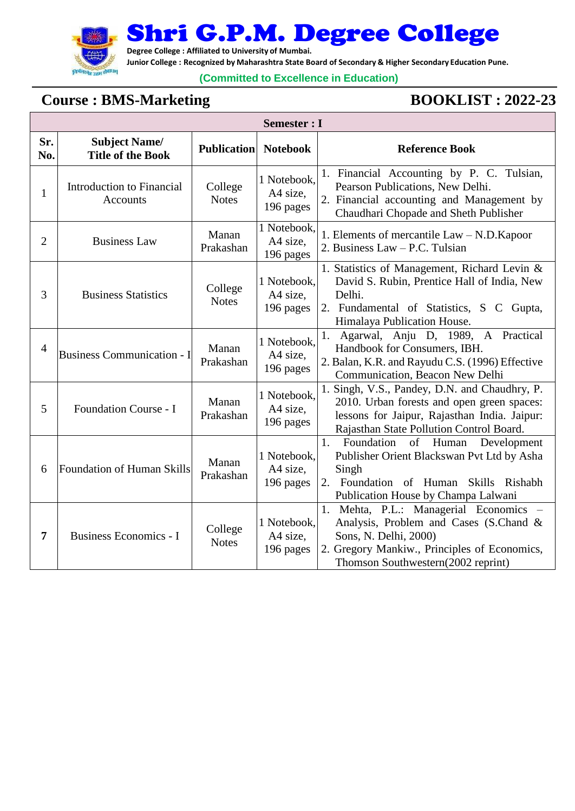

Shri G.P.M. Degree College

**Degree College : Affiliated to University of Mumbai.**

**Junior College : Recognized by Maharashtra State Board of Secondary & Higher Secondary Education Pune.**

### **(Committed to Excellence in Education)**

## **Course** : **BMS-Marketing BOOKLIST** : **2022-23**

|                | <b>Semester : I</b>                              |                         |                                      |                                                                                                                                                                                                 |  |  |  |
|----------------|--------------------------------------------------|-------------------------|--------------------------------------|-------------------------------------------------------------------------------------------------------------------------------------------------------------------------------------------------|--|--|--|
| Sr.<br>No.     | <b>Subject Name/</b><br><b>Title of the Book</b> | <b>Publication</b>      | <b>Notebook</b>                      | <b>Reference Book</b>                                                                                                                                                                           |  |  |  |
| 1              | Introduction to Financial<br>Accounts            | College<br><b>Notes</b> | 1 Notebook,<br>A4 size,<br>196 pages | 1. Financial Accounting by P. C. Tulsian,<br>Pearson Publications, New Delhi.<br>2. Financial accounting and Management by<br>Chaudhari Chopade and Sheth Publisher                             |  |  |  |
| $\overline{2}$ | <b>Business Law</b>                              | Manan<br>Prakashan      | 1 Notebook,<br>A4 size,<br>196 pages | 1. Elements of mercantile Law - N.D. Kapoor<br>2. Business Law - P.C. Tulsian                                                                                                                   |  |  |  |
| 3              | <b>Business Statistics</b>                       | College<br><b>Notes</b> | 1 Notebook,<br>A4 size,<br>196 pages | 1. Statistics of Management, Richard Levin &<br>David S. Rubin, Prentice Hall of India, New<br>Delhi.<br>2. Fundamental of Statistics, S C Gupta,<br>Himalaya Publication House.                |  |  |  |
| $\overline{4}$ | <b>Business Communication - I</b>                | Manan<br>Prakashan      | 1 Notebook,<br>A4 size,<br>196 pages | Agarwal, Anju D, 1989, A Practical<br>1.<br>Handbook for Consumers, IBH.<br>2. Balan, K.R. and Rayudu C.S. (1996) Effective<br>Communication, Beacon New Delhi                                  |  |  |  |
| 5              | Foundation Course - I                            | Manan<br>Prakashan      | 1 Notebook,<br>A4 size,<br>196 pages | 1. Singh, V.S., Pandey, D.N. and Chaudhry, P.<br>2010. Urban forests and open green spaces:<br>lessons for Jaipur, Rajasthan India. Jaipur:<br>Rajasthan State Pollution Control Board.         |  |  |  |
| 6              | Foundation of Human Skills                       | Manan<br>Prakashan      | 1 Notebook,<br>A4 size,<br>196 pages | 1.<br>Foundation<br>of Human<br>Development<br>Publisher Orient Blackswan Pvt Ltd by Asha<br>Singh<br>Foundation of Human Skills Rishabh<br>2.<br>Publication House by Champa Lalwani           |  |  |  |
| 7              | <b>Business Economics - I</b>                    | College<br><b>Notes</b> | 1 Notebook,<br>A4 size,<br>196 pages | 1. Mehta, P.L.: Managerial Economics -<br>Analysis, Problem and Cases (S.Chand &<br>Sons, N. Delhi, 2000)<br>2. Gregory Mankiw., Principles of Economics,<br>Thomson Southwestern(2002 reprint) |  |  |  |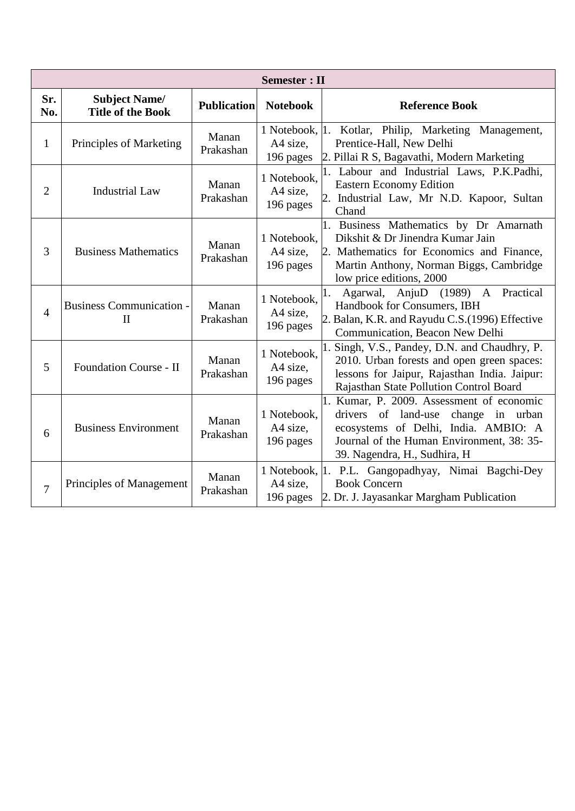|                | <b>Semester</b> : II                             |                    |                                      |                                                                                                                                                                                                          |  |  |  |
|----------------|--------------------------------------------------|--------------------|--------------------------------------|----------------------------------------------------------------------------------------------------------------------------------------------------------------------------------------------------------|--|--|--|
| Sr.<br>No.     | <b>Subject Name/</b><br><b>Title of the Book</b> | <b>Publication</b> | <b>Notebook</b>                      | <b>Reference Book</b>                                                                                                                                                                                    |  |  |  |
| $\mathbf{1}$   | Principles of Marketing                          | Manan<br>Prakashan | A4 size,<br>196 pages                | 1 Notebook, 1. Kotlar, Philip, Marketing Management,<br>Prentice-Hall, New Delhi<br>2. Pillai R S, Bagavathi, Modern Marketing                                                                           |  |  |  |
| $\mathfrak{2}$ | <b>Industrial Law</b>                            | Manan<br>Prakashan | 1 Notebook,<br>A4 size,<br>196 pages | 1. Labour and Industrial Laws, P.K.Padhi,<br><b>Eastern Economy Edition</b><br>2. Industrial Law, Mr N.D. Kapoor, Sultan<br>Chand                                                                        |  |  |  |
| 3              | <b>Business Mathematics</b>                      | Manan<br>Prakashan | 1 Notebook,<br>A4 size,<br>196 pages | 1. Business Mathematics by Dr Amarnath<br>Dikshit & Dr Jinendra Kumar Jain<br>2. Mathematics for Economics and Finance,<br>Martin Anthony, Norman Biggs, Cambridge<br>low price editions, 2000           |  |  |  |
| 4              | <b>Business Communication -</b><br>$\mathbf{H}$  | Manan<br>Prakashan | 1 Notebook,<br>A4 size,<br>196 pages | Agarwal, AnjuD<br>$(1989)$ A<br>Practical<br>1.<br>Handbook for Consumers, IBH<br>2. Balan, K.R. and Rayudu C.S. (1996) Effective<br>Communication, Beacon New Delhi                                     |  |  |  |
| 5              | Foundation Course - II                           | Manan<br>Prakashan | 1 Notebook,<br>A4 size,<br>196 pages | 1. Singh, V.S., Pandey, D.N. and Chaudhry, P.<br>2010. Urban forests and open green spaces:<br>lessons for Jaipur, Rajasthan India. Jaipur:<br>Rajasthan State Pollution Control Board                   |  |  |  |
| 6              | <b>Business Environment</b>                      | Manan<br>Prakashan | 1 Notebook,<br>A4 size,<br>196 pages | 1. Kumar, P. 2009. Assessment of economic<br>drivers of land-use<br>change in urban<br>ecosystems of Delhi, India. AMBIO: A<br>Journal of the Human Environment, 38: 35-<br>39. Nagendra, H., Sudhira, H |  |  |  |
| 7              | Principles of Management                         | Manan<br>Prakashan | A4 size,<br>196 pages                | 1 Notebook, 1. P.L. Gangopadhyay, Nimai Bagchi-Dey<br><b>Book Concern</b><br>2. Dr. J. Jayasankar Margham Publication                                                                                    |  |  |  |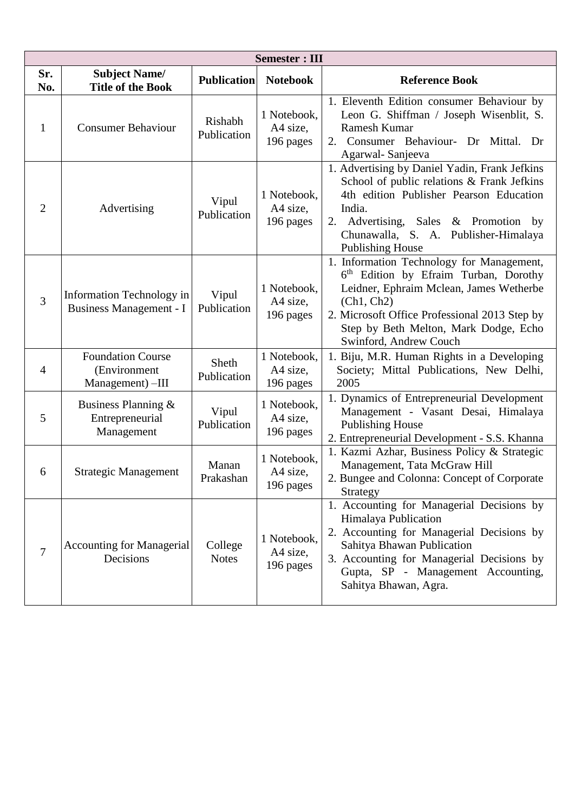|                | <b>Semester: III</b>                                         |                         |                                      |                                                                                                                                                                                                                                                                             |  |  |
|----------------|--------------------------------------------------------------|-------------------------|--------------------------------------|-----------------------------------------------------------------------------------------------------------------------------------------------------------------------------------------------------------------------------------------------------------------------------|--|--|
| Sr.<br>No.     | <b>Subject Name/</b><br><b>Title of the Book</b>             | <b>Publication</b>      | <b>Notebook</b>                      | <b>Reference Book</b>                                                                                                                                                                                                                                                       |  |  |
| 1              | <b>Consumer Behaviour</b>                                    | Rishabh<br>Publication  | 1 Notebook,<br>A4 size,<br>196 pages | 1. Eleventh Edition consumer Behaviour by<br>Leon G. Shiffman / Joseph Wisenblit, S.<br>Ramesh Kumar<br>2. Consumer Behaviour- Dr Mittal. Dr<br>Agarwal-Sanjeeva                                                                                                            |  |  |
| $\overline{2}$ | Advertising                                                  | Vipul<br>Publication    | 1 Notebook,<br>A4 size,<br>196 pages | 1. Advertising by Daniel Yadin, Frank Jefkins<br>School of public relations & Frank Jefkins<br>4th edition Publisher Pearson Education<br>India.<br>2. Advertising, Sales & Promotion by<br>Chunawalla, S. A. Publisher-Himalaya<br><b>Publishing House</b>                 |  |  |
| 3              | Information Technology in<br>Business Management - I         | Vipul<br>Publication    | 1 Notebook,<br>A4 size,<br>196 pages | 1. Information Technology for Management,<br>6 <sup>th</sup> Edition by Efraim Turban, Dorothy<br>Leidner, Ephraim Mclean, James Wetherbe<br>(Ch1, Ch2)<br>2. Microsoft Office Professional 2013 Step by<br>Step by Beth Melton, Mark Dodge, Echo<br>Swinford, Andrew Couch |  |  |
| $\overline{4}$ | <b>Foundation Course</b><br>(Environment<br>Management) -III | Sheth<br>Publication    | 1 Notebook,<br>A4 size,<br>196 pages | 1. Biju, M.R. Human Rights in a Developing<br>Society; Mittal Publications, New Delhi,<br>2005                                                                                                                                                                              |  |  |
| 5              | Business Planning $\&$<br>Entrepreneurial<br>Management      | Vipul<br>Publication    | 1 Notebook,<br>A4 size,<br>196 pages | 1. Dynamics of Entrepreneurial Development<br>Management - Vasant Desai, Himalaya<br><b>Publishing House</b><br>2. Entrepreneurial Development - S.S. Khanna                                                                                                                |  |  |
| 6              | <b>Strategic Management</b>                                  | Manan<br>Prakashan      | 1 Notebook,<br>A4 size,<br>196 pages | 1. Kazmi Azhar, Business Policy & Strategic<br>Management, Tata McGraw Hill<br>2. Bungee and Colonna: Concept of Corporate<br>Strategy                                                                                                                                      |  |  |
| 7              | <b>Accounting for Managerial</b><br>Decisions                | College<br><b>Notes</b> | 1 Notebook,<br>A4 size,<br>196 pages | 1. Accounting for Managerial Decisions by<br>Himalaya Publication<br>2. Accounting for Managerial Decisions by<br>Sahitya Bhawan Publication<br>3. Accounting for Managerial Decisions by<br>Gupta, SP - Management Accounting,<br>Sahitya Bhawan, Agra.                    |  |  |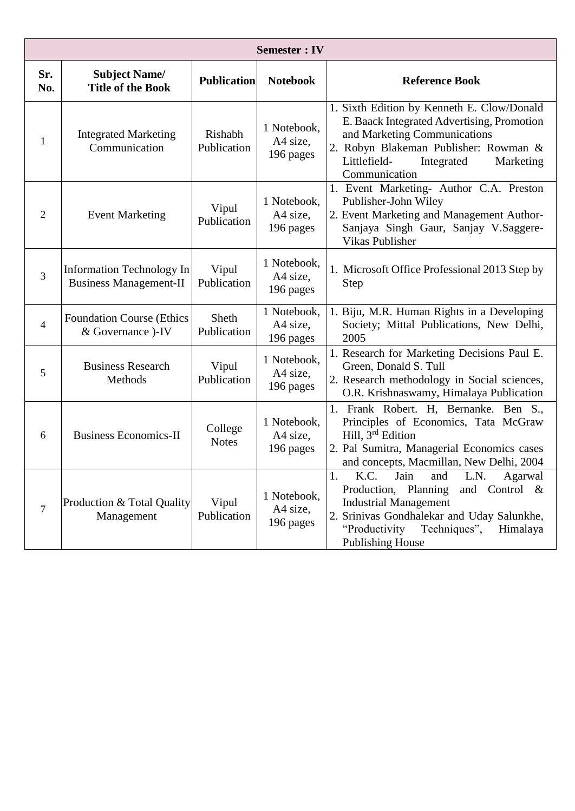|                | <b>Semester</b> : IV                                       |                         |                                      |                                                                                                                                                                                                                                             |  |  |
|----------------|------------------------------------------------------------|-------------------------|--------------------------------------|---------------------------------------------------------------------------------------------------------------------------------------------------------------------------------------------------------------------------------------------|--|--|
| Sr.<br>No.     | <b>Subject Name/</b><br><b>Title of the Book</b>           | <b>Publication</b>      | <b>Notebook</b>                      | <b>Reference Book</b>                                                                                                                                                                                                                       |  |  |
| 1              | <b>Integrated Marketing</b><br>Communication               | Rishabh<br>Publication  | 1 Notebook,<br>A4 size,<br>196 pages | 1. Sixth Edition by Kenneth E. Clow/Donald<br>E. Baack Integrated Advertising, Promotion<br>and Marketing Communications<br>2. Robyn Blakeman Publisher: Rowman &<br>Littlefield-<br>Integrated<br>Marketing<br>Communication               |  |  |
| $\overline{2}$ | <b>Event Marketing</b>                                     | Vipul<br>Publication    | 1 Notebook,<br>A4 size,<br>196 pages | 1. Event Marketing- Author C.A. Preston<br>Publisher-John Wiley<br>2. Event Marketing and Management Author-<br>Sanjaya Singh Gaur, Sanjay V.Saggere-<br><b>Vikas Publisher</b>                                                             |  |  |
| $\overline{3}$ | Information Technology In<br><b>Business Management-II</b> | Vipul<br>Publication    | 1 Notebook,<br>A4 size,<br>196 pages | 1. Microsoft Office Professional 2013 Step by<br>Step                                                                                                                                                                                       |  |  |
| $\overline{4}$ | <b>Foundation Course (Ethics</b><br>& Governance )-IV      | Sheth<br>Publication    | 1 Notebook,<br>A4 size,<br>196 pages | 1. Biju, M.R. Human Rights in a Developing<br>Society; Mittal Publications, New Delhi,<br>2005                                                                                                                                              |  |  |
| 5              | <b>Business Research</b><br>Methods                        | Vipul<br>Publication    | 1 Notebook,<br>A4 size,<br>196 pages | 1. Research for Marketing Decisions Paul E.<br>Green, Donald S. Tull<br>2. Research methodology in Social sciences,<br>O.R. Krishnaswamy, Himalaya Publication                                                                              |  |  |
| 6              | <b>Business Economics-II</b>                               | College<br><b>Notes</b> | 1 Notebook,<br>A4 size,<br>196 pages | 1. Frank Robert. H, Bernanke. Ben S.,<br>Principles of Economics, Tata McGraw<br>Hill, 3 <sup>rd</sup> Edition<br>2. Pal Sumitra, Managerial Economics cases<br>and concepts, Macmillan, New Delhi, 2004                                    |  |  |
| $\overline{7}$ | Production & Total Quality<br>Management                   | Vipul<br>Publication    | 1 Notebook,<br>A4 size,<br>196 pages | 1.<br>Jain<br>K.C.<br>L.N.<br>Agarwal<br>and<br>Production, Planning<br>and Control &<br><b>Industrial Management</b><br>2. Srinivas Gondhalekar and Uday Salunkhe,<br>"Productivity<br>Techniques",<br>Himalaya<br><b>Publishing House</b> |  |  |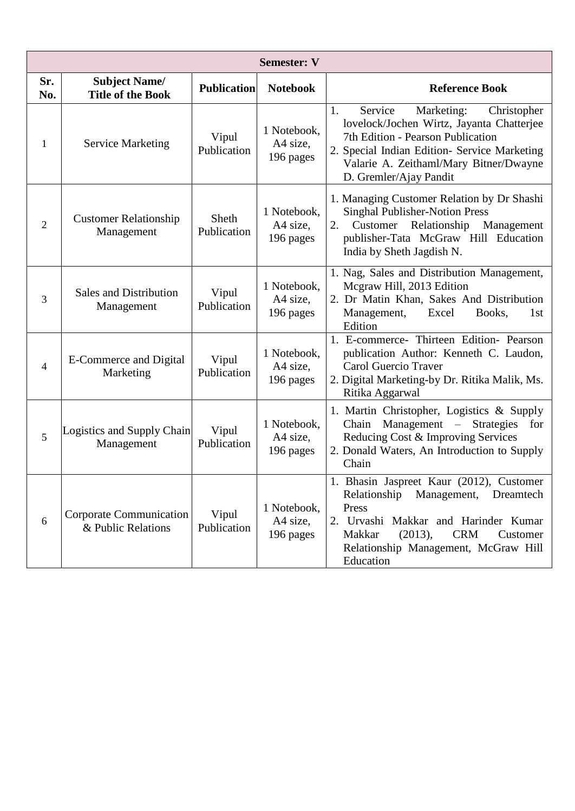|                | <b>Semester: V</b>                               |                      |                                      |                                                                                                                                                                                                                                                  |  |  |
|----------------|--------------------------------------------------|----------------------|--------------------------------------|--------------------------------------------------------------------------------------------------------------------------------------------------------------------------------------------------------------------------------------------------|--|--|
| Sr.<br>No.     | <b>Subject Name/</b><br><b>Title of the Book</b> | <b>Publication</b>   | <b>Notebook</b>                      | <b>Reference Book</b>                                                                                                                                                                                                                            |  |  |
| 1              | <b>Service Marketing</b>                         | Vipul<br>Publication | 1 Notebook,<br>A4 size,<br>196 pages | 1.<br>Service<br>Marketing:<br>Christopher<br>lovelock/Jochen Wirtz, Jayanta Chatterjee<br>7th Edition - Pearson Publication<br>2. Special Indian Edition- Service Marketing<br>Valarie A. Zeithaml/Mary Bitner/Dwayne<br>D. Gremler/Ajay Pandit |  |  |
| $\overline{2}$ | <b>Customer Relationship</b><br>Management       | Sheth<br>Publication | 1 Notebook,<br>A4 size,<br>196 pages | 1. Managing Customer Relation by Dr Shashi<br><b>Singhal Publisher-Notion Press</b><br>Relationship<br>Management<br>Customer<br>2.<br>publisher-Tata McGraw Hill Education<br>India by Sheth Jagdish N.                                         |  |  |
| 3              | <b>Sales and Distribution</b><br>Management      | Vipul<br>Publication | 1 Notebook,<br>A4 size,<br>196 pages | 1. Nag, Sales and Distribution Management,<br>Mcgraw Hill, 2013 Edition<br>2. Dr Matin Khan, Sakes And Distribution<br>Management,<br>Excel<br>Books,<br>1st<br>Edition                                                                          |  |  |
| $\overline{4}$ | <b>E-Commerce and Digital</b><br>Marketing       | Vipul<br>Publication | 1 Notebook,<br>A4 size,<br>196 pages | 1. E-commerce- Thirteen Edition- Pearson<br>publication Author: Kenneth C. Laudon,<br>Carol Guercio Traver<br>2. Digital Marketing-by Dr. Ritika Malik, Ms.<br>Ritika Aggarwal                                                                   |  |  |
| 5              | Logistics and Supply Chain<br>Management         | Vipul<br>Publication | 1 Notebook,<br>A4 size,<br>196 pages | 1. Martin Christopher, Logistics & Supply<br>Management – Strategies<br>Chain<br>for<br>Reducing Cost & Improving Services<br>2. Donald Waters, An Introduction to Supply<br>Chain                                                               |  |  |
| 6              | Corporate Communication<br>& Public Relations    | Vipul<br>Publication | 1 Notebook,<br>A4 size,<br>196 pages | Bhasin Jaspreet Kaur (2012), Customer<br>Relationship Management, Dreamtech<br>Press<br>2. Urvashi Makkar and Harinder Kumar<br>(2013),<br><b>CRM</b><br>Makkar<br>Customer<br>Relationship Management, McGraw Hill<br>Education                 |  |  |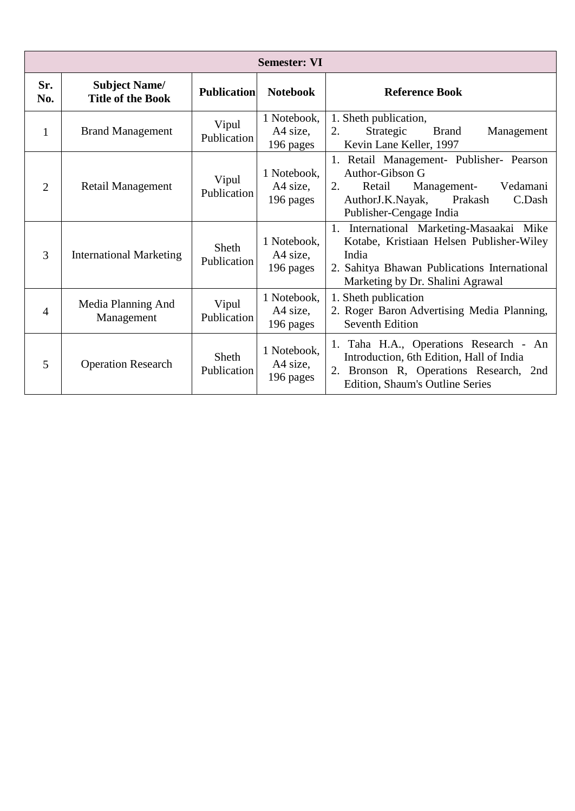|                | <b>Semester: VI</b>                              |                             |                                      |                                                                                                                                                                                   |  |  |
|----------------|--------------------------------------------------|-----------------------------|--------------------------------------|-----------------------------------------------------------------------------------------------------------------------------------------------------------------------------------|--|--|
| Sr.<br>No.     | <b>Subject Name/</b><br><b>Title of the Book</b> | <b>Publication</b>          | <b>Notebook</b>                      | <b>Reference Book</b>                                                                                                                                                             |  |  |
| $\mathbf{1}$   | <b>Brand Management</b>                          | Vipul<br>Publication        | 1 Notebook,<br>A4 size,<br>196 pages | 1. Sheth publication,<br>Strategic<br>2.<br><b>Brand</b><br>Management<br>Kevin Lane Keller, 1997                                                                                 |  |  |
| $\overline{2}$ | Retail Management                                | Vipul<br>Publication        | 1 Notebook,<br>A4 size,<br>196 pages | 1. Retail Management- Publisher- Pearson<br>Author-Gibson G<br>2.<br>Retail<br>Vedamani<br>Management-<br>AuthorJ.K.Nayak,<br>Prakash<br>C.Dash<br>Publisher-Cengage India        |  |  |
| 3              | <b>International Marketing</b>                   | <b>Sheth</b><br>Publication | 1 Notebook,<br>A4 size,<br>196 pages | 1. International Marketing-Masaakai Mike<br>Kotabe, Kristiaan Helsen Publisher-Wiley<br>India<br>2. Sahitya Bhawan Publications International<br>Marketing by Dr. Shalini Agrawal |  |  |
| $\overline{4}$ | Media Planning And<br>Management                 | Vipul<br>Publication        | 1 Notebook,<br>A4 size,<br>196 pages | 1. Sheth publication<br>2. Roger Baron Advertising Media Planning,<br><b>Seventh Edition</b>                                                                                      |  |  |
| 5              | <b>Operation Research</b>                        | <b>Sheth</b><br>Publication | 1 Notebook,<br>A4 size,<br>196 pages | 1. Taha H.A., Operations Research - An<br>Introduction, 6th Edition, Hall of India<br>2. Bronson R, Operations Research, 2nd<br>Edition, Shaum's Outline Series                   |  |  |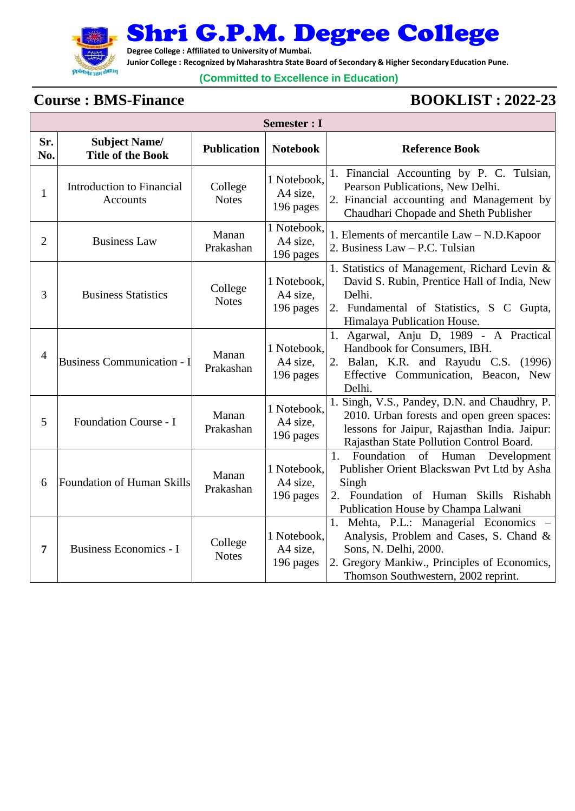

Г

Shri G.P.M. Degree College

**Degree College : Affiliated to University of Mumbai.**

**Junior College : Recognized by Maharashtra State Board of Secondary & Higher Secondary Education Pune.**

### **(Committed to Excellence in Education)**

# **Course : BMS-Finance BOOKLIST : 2022-23**

|              | Semester : I                                     |                         |                                      |                                                                                                                                                                                                   |  |  |
|--------------|--------------------------------------------------|-------------------------|--------------------------------------|---------------------------------------------------------------------------------------------------------------------------------------------------------------------------------------------------|--|--|
| Sr.<br>No.   | <b>Subject Name/</b><br><b>Title of the Book</b> | <b>Publication</b>      | <b>Notebook</b>                      | <b>Reference Book</b>                                                                                                                                                                             |  |  |
| $\mathbf{1}$ | Introduction to Financial<br>Accounts            | College<br><b>Notes</b> | 1 Notebook,<br>A4 size,<br>196 pages | 1. Financial Accounting by P. C. Tulsian,<br>Pearson Publications, New Delhi.<br>2. Financial accounting and Management by<br>Chaudhari Chopade and Sheth Publisher                               |  |  |
| 2            | <b>Business Law</b>                              | Manan<br>Prakashan      | 1 Notebook,<br>A4 size,<br>196 pages | 1. Elements of mercantile Law - N.D. Kapoor<br>2. Business Law - P.C. Tulsian                                                                                                                     |  |  |
| 3            | <b>Business Statistics</b>                       | College<br><b>Notes</b> | 1 Notebook,<br>A4 size,<br>196 pages | 1. Statistics of Management, Richard Levin &<br>David S. Rubin, Prentice Hall of India, New<br>Delhi.<br>2. Fundamental of Statistics, S C Gupta,<br>Himalaya Publication House.                  |  |  |
| 4            | <b>Business Communication - I</b>                | Manan<br>Prakashan      | 1 Notebook,<br>A4 size,<br>196 pages | 1. Agarwal, Anju D, 1989 - A Practical<br>Handbook for Consumers, IBH.<br>2. Balan, K.R. and Rayudu C.S. (1996)<br>Effective Communication, Beacon, New<br>Delhi.                                 |  |  |
| 5            | Foundation Course - I                            | Manan<br>Prakashan      | 1 Notebook,<br>A4 size,<br>196 pages | 1. Singh, V.S., Pandey, D.N. and Chaudhry, P.<br>2010. Urban forests and open green spaces:<br>lessons for Jaipur, Rajasthan India. Jaipur:<br>Rajasthan State Pollution Control Board.           |  |  |
| 6            | Foundation of Human Skills                       | Manan<br>Prakashan      | 1 Notebook,<br>A4 size,<br>196 pages | Foundation<br>1.<br>of Human<br>Development<br>Publisher Orient Blackswan Pvt Ltd by Asha<br>Singh<br>2. Foundation of Human Skills Rishabh<br>Publication House by Champa Lalwani                |  |  |
| 7            | <b>Business Economics - I</b>                    | College<br><b>Notes</b> | 1 Notebook,<br>A4 size,<br>196 pages | 1. Mehta, P.L.: Managerial Economics -<br>Analysis, Problem and Cases, S. Chand &<br>Sons, N. Delhi, 2000.<br>2. Gregory Mankiw., Principles of Economics,<br>Thomson Southwestern, 2002 reprint. |  |  |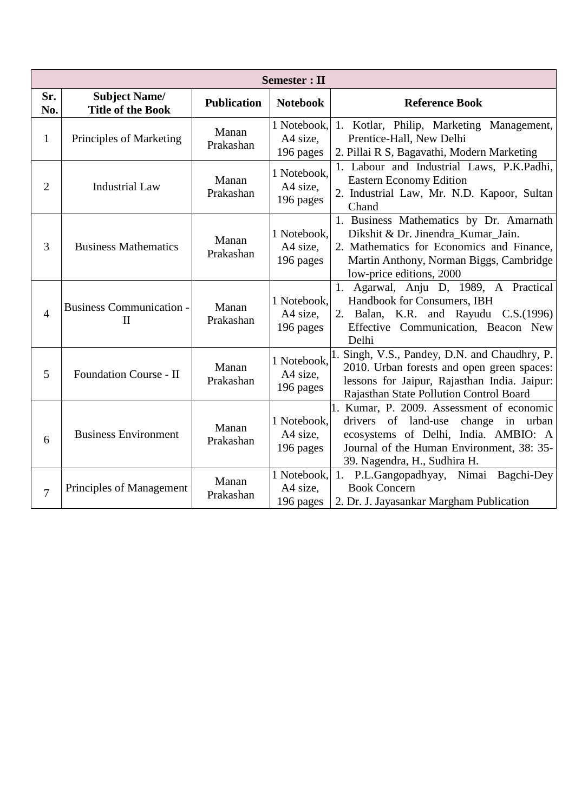|                | <b>Semester</b> : II                             |                    |                                      |                                                                                                                                                                                                          |  |  |
|----------------|--------------------------------------------------|--------------------|--------------------------------------|----------------------------------------------------------------------------------------------------------------------------------------------------------------------------------------------------------|--|--|
| Sr.<br>No.     | <b>Subject Name/</b><br><b>Title of the Book</b> | <b>Publication</b> | <b>Notebook</b>                      | <b>Reference Book</b>                                                                                                                                                                                    |  |  |
| $\mathbf{1}$   | Principles of Marketing                          | Manan<br>Prakashan | 1 Notebook,<br>A4 size,<br>196 pages | 1. Kotlar, Philip, Marketing Management,<br>Prentice-Hall, New Delhi<br>2. Pillai R S, Bagavathi, Modern Marketing                                                                                       |  |  |
| $\overline{2}$ | <b>Industrial Law</b>                            | Manan<br>Prakashan | 1 Notebook,<br>A4 size,<br>196 pages | 1. Labour and Industrial Laws, P.K.Padhi,<br><b>Eastern Economy Edition</b><br>2. Industrial Law, Mr. N.D. Kapoor, Sultan<br>Chand                                                                       |  |  |
| 3              | <b>Business Mathematics</b>                      | Manan<br>Prakashan | 1 Notebook,<br>A4 size,<br>196 pages | 1. Business Mathematics by Dr. Amarnath<br>Dikshit & Dr. Jinendra Kumar Jain.<br>2. Mathematics for Economics and Finance,<br>Martin Anthony, Norman Biggs, Cambridge<br>low-price editions, 2000        |  |  |
| $\overline{4}$ | <b>Business Communication -</b><br>$\mathbf{I}$  | Manan<br>Prakashan | 1 Notebook,<br>A4 size,<br>196 pages | Agarwal, Anju D, 1989, A Practical<br>1.<br>Handbook for Consumers, IBH<br>2. Balan, K.R. and Rayudu C.S.(1996)<br>Effective Communication, Beacon New<br>Delhi                                          |  |  |
| 5              | <b>Foundation Course - II</b>                    | Manan<br>Prakashan | 1 Notebook,<br>A4 size,<br>196 pages | Singh, V.S., Pandey, D.N. and Chaudhry, P.<br>2010. Urban forests and open green spaces:<br>lessons for Jaipur, Rajasthan India. Jaipur:<br>Rajasthan State Pollution Control Board                      |  |  |
| 6              | <b>Business Environment</b>                      | Manan<br>Prakashan | 1 Notebook,<br>A4 size,<br>196 pages | 1. Kumar, P. 2009. Assessment of economic<br>drivers of land-use<br>change in urban<br>ecosystems of Delhi, India. AMBIO: A<br>Journal of the Human Environment, 38: 35-<br>39. Nagendra, H., Sudhira H. |  |  |
| 7              | Principles of Management                         | Manan<br>Prakashan | 1 Notebook,<br>A4 size,<br>196 pages | 1. P.L.Gangopadhyay, Nimai Bagchi-Dey<br><b>Book Concern</b><br>2. Dr. J. Jayasankar Margham Publication                                                                                                 |  |  |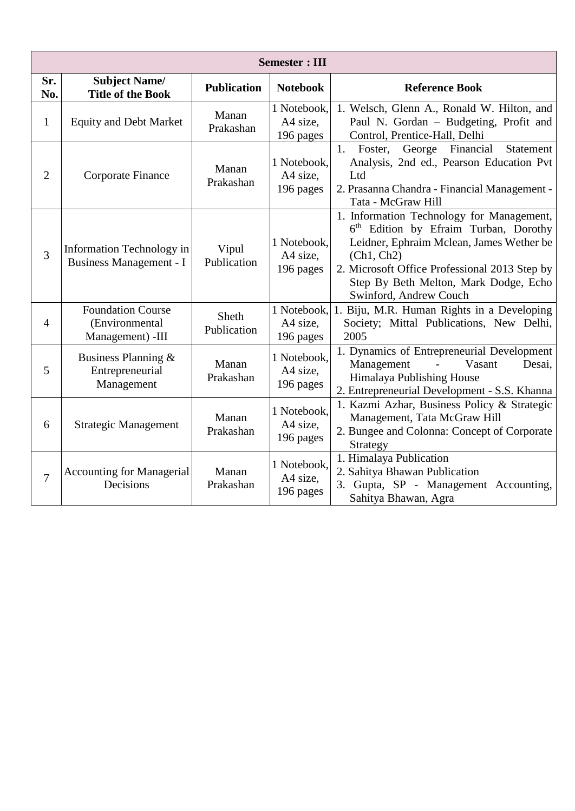|                | <b>Semester: III</b>                                           |                      |                                      |                                                                                                                                                                                                                                                                              |  |  |
|----------------|----------------------------------------------------------------|----------------------|--------------------------------------|------------------------------------------------------------------------------------------------------------------------------------------------------------------------------------------------------------------------------------------------------------------------------|--|--|
| Sr.<br>No.     | <b>Subject Name/</b><br><b>Title of the Book</b>               | <b>Publication</b>   | <b>Notebook</b>                      | <b>Reference Book</b>                                                                                                                                                                                                                                                        |  |  |
| $\mathbf{1}$   | <b>Equity and Debt Market</b>                                  | Manan<br>Prakashan   | 1 Notebook,<br>A4 size,<br>196 pages | 1. Welsch, Glenn A., Ronald W. Hilton, and<br>Paul N. Gordan - Budgeting, Profit and<br>Control, Prentice-Hall, Delhi                                                                                                                                                        |  |  |
| $\overline{2}$ | Corporate Finance                                              | Manan<br>Prakashan   | 1 Notebook.<br>A4 size,<br>196 pages | George<br>Financial<br>Foster,<br>Statement<br>1.<br>Analysis, 2nd ed., Pearson Education Pvt<br>Ltd<br>2. Prasanna Chandra - Financial Management -<br>Tata - McGraw Hill                                                                                                   |  |  |
| 3              | Information Technology in<br><b>Business Management - I</b>    | Vipul<br>Publication | 1 Notebook,<br>A4 size,<br>196 pages | 1. Information Technology for Management,<br>6 <sup>th</sup> Edition by Efraim Turban, Dorothy<br>Leidner, Ephraim Mclean, James Wether be<br>(Ch1, Ch2)<br>2. Microsoft Office Professional 2013 Step by<br>Step By Beth Melton, Mark Dodge, Echo<br>Swinford, Andrew Couch |  |  |
| $\overline{4}$ | <b>Foundation Course</b><br>(Environmental<br>Management) -III | Sheth<br>Publication | 1 Notebook,<br>A4 size,<br>196 pages | 1. Biju, M.R. Human Rights in a Developing<br>Society; Mittal Publications, New Delhi,<br>2005                                                                                                                                                                               |  |  |
| 5              | Business Planning &<br>Entrepreneurial<br>Management           | Manan<br>Prakashan   | 1 Notebook,<br>A4 size,<br>196 pages | 1. Dynamics of Entrepreneurial Development<br>Management<br>Vasant<br>Desai,<br>Himalaya Publishing House<br>2. Entrepreneurial Development - S.S. Khanna                                                                                                                    |  |  |
| 6              | <b>Strategic Management</b>                                    | Manan<br>Prakashan   | 1 Notebook,<br>A4 size,<br>196 pages | 1. Kazmi Azhar, Business Policy & Strategic<br>Management, Tata McGraw Hill<br>2. Bungee and Colonna: Concept of Corporate<br>Strategy                                                                                                                                       |  |  |
| $\overline{7}$ | <b>Accounting for Managerial</b><br>Decisions                  | Manan<br>Prakashan   | 1 Notebook,<br>A4 size,<br>196 pages | 1. Himalaya Publication<br>2. Sahitya Bhawan Publication<br>3. Gupta, SP - Management Accounting,<br>Sahitya Bhawan, Agra                                                                                                                                                    |  |  |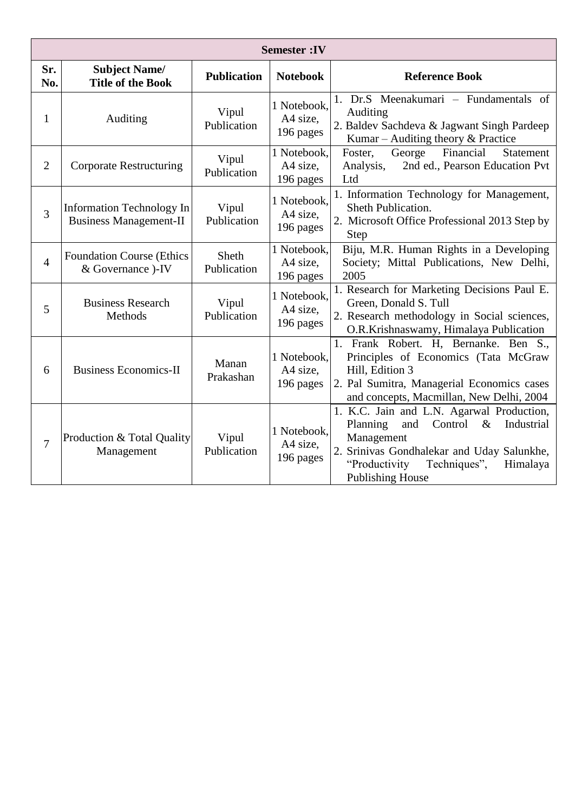|                | <b>Semester:IV</b>                                         |                      |                                      |                                                                                                                                                                                                                                   |  |
|----------------|------------------------------------------------------------|----------------------|--------------------------------------|-----------------------------------------------------------------------------------------------------------------------------------------------------------------------------------------------------------------------------------|--|
| Sr.<br>No.     | <b>Subject Name/</b><br><b>Title of the Book</b>           | <b>Publication</b>   | <b>Notebook</b>                      | <b>Reference Book</b>                                                                                                                                                                                                             |  |
| $\mathbf{1}$   | Auditing                                                   | Vipul<br>Publication | 1 Notebook,<br>A4 size,<br>196 pages | 1. Dr.S Meenakumari – Fundamentals of<br>Auditing<br>2. Baldev Sachdeva & Jagwant Singh Pardeep<br>Kumar – Auditing theory $&$ Practice                                                                                           |  |
| $\overline{2}$ | <b>Corporate Restructuring</b>                             | Vipul<br>Publication | 1 Notebook,<br>A4 size,<br>196 pages | Financial<br>George<br>Statement<br>Foster,<br>2nd ed., Pearson Education Pvt<br>Analysis,<br>Ltd                                                                                                                                 |  |
| 3              | Information Technology In<br><b>Business Management-II</b> | Vipul<br>Publication | 1 Notebook,<br>A4 size,<br>196 pages | 1. Information Technology for Management,<br>Sheth Publication.<br>2. Microsoft Office Professional 2013 Step by<br>Step                                                                                                          |  |
| $\overline{4}$ | <b>Foundation Course (Ethics)</b><br>& Governance )-IV     | Sheth<br>Publication | 1 Notebook,<br>A4 size,<br>196 pages | Biju, M.R. Human Rights in a Developing<br>Society; Mittal Publications, New Delhi,<br>2005                                                                                                                                       |  |
| 5              | <b>Business Research</b><br>Methods                        | Vipul<br>Publication | 1 Notebook,<br>A4 size,<br>196 pages | 1. Research for Marketing Decisions Paul E.<br>Green, Donald S. Tull<br>2. Research methodology in Social sciences,<br>O.R.Krishnaswamy, Himalaya Publication                                                                     |  |
| 6              | <b>Business Economics-II</b>                               | Manan<br>Prakashan   | 1 Notebook,<br>A4 size,<br>196 pages | 1. Frank Robert. H, Bernanke. Ben S.,<br>Principles of Economics (Tata McGraw<br>Hill, Edition 3<br>2. Pal Sumitra, Managerial Economics cases<br>and concepts, Macmillan, New Delhi, 2004                                        |  |
| 7              | Production & Total Quality<br>Management                   | Vipul<br>Publication | 1 Notebook,<br>A4 size,<br>196 pages | 1. K.C. Jain and L.N. Agarwal Production,<br>Control<br>$\&$<br>Planning<br>and<br>Industrial<br>Management<br>2. Srinivas Gondhalekar and Uday Salunkhe,<br>"Productivity<br>Techniques",<br>Himalaya<br><b>Publishing House</b> |  |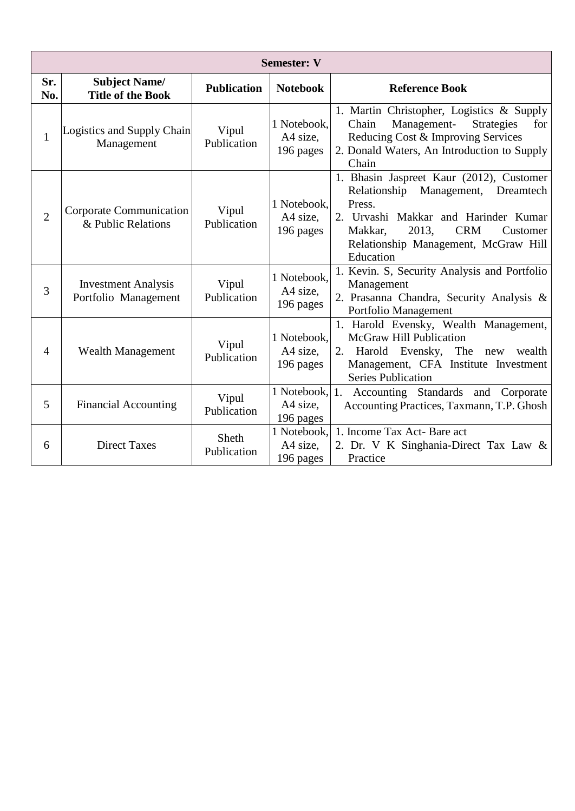|                | <b>Semester: V</b>                                 |                      |                                         |                                                                                                                                                                                                                                        |  |  |
|----------------|----------------------------------------------------|----------------------|-----------------------------------------|----------------------------------------------------------------------------------------------------------------------------------------------------------------------------------------------------------------------------------------|--|--|
| Sr.<br>No.     | <b>Subject Name/</b><br><b>Title of the Book</b>   | <b>Publication</b>   | <b>Notebook</b>                         | <b>Reference Book</b>                                                                                                                                                                                                                  |  |  |
| $\mathbf{1}$   | Logistics and Supply Chain<br>Management           | Vipul<br>Publication | 1 Notebook.<br>A4 size,<br>196 pages    | 1. Martin Christopher, Logistics & Supply<br>Chain<br>Management-<br><b>Strategies</b><br>for<br>Reducing Cost & Improving Services<br>2. Donald Waters, An Introduction to Supply<br>Chain                                            |  |  |
| $\overline{2}$ | Corporate Communication<br>& Public Relations      | Vipul<br>Publication | 1 Notebook.<br>A4 size,<br>196 pages    | 1. Bhasin Jaspreet Kaur (2012), Customer<br>Management, Dreamtech<br>Relationship<br>Press.<br>2. Urvashi Makkar and Harinder Kumar<br><b>CRM</b><br>Makkar,<br>2013.<br>Customer<br>Relationship Management, McGraw Hill<br>Education |  |  |
| 3              | <b>Investment Analysis</b><br>Portfolio Management | Vipul<br>Publication | 1 Notebook,<br>A4 size,<br>196 pages    | 1. Kevin. S, Security Analysis and Portfolio<br>Management<br>2. Prasanna Chandra, Security Analysis &<br>Portfolio Management                                                                                                         |  |  |
| $\overline{4}$ | <b>Wealth Management</b>                           | Vipul<br>Publication | 1 Notebook,<br>A4 size,<br>196 pages    | 1. Harold Evensky, Wealth Management,<br><b>McGraw Hill Publication</b><br>Harold Evensky, The new<br>wealth<br>2.<br>Management, CFA Institute Investment<br><b>Series Publication</b>                                                |  |  |
| 5              | <b>Financial Accounting</b>                        | Vipul<br>Publication | 1 Notebook, 1.<br>A4 size,<br>196 pages | Accounting Standards and Corporate<br>Accounting Practices, Taxmann, T.P. Ghosh                                                                                                                                                        |  |  |
| 6              | <b>Direct Taxes</b>                                | Sheth<br>Publication | 1 Notebook,<br>A4 size.<br>196 pages    | 1. Income Tax Act- Bare act<br>2. Dr. V K Singhania-Direct Tax Law &<br>Practice                                                                                                                                                       |  |  |